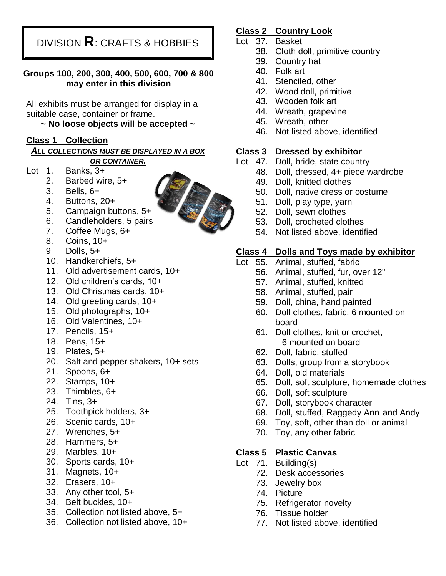DIVISION **R**: CRAFTS & HOBBIES

#### **Groups 100, 200, 300, 400, 500, 600, 700 & 800 may enter in this division**

All exhibits must be arranged for display in a suitable case, container or frame.

**~ No loose objects will be accepted ~**

#### **Class 1 Collection**

*ALL COLLECTIONS MUST BE DISPLAYED IN A BOX OR CONTAINER.*

- Lot 1. Banks, 3+
	- 2. Barbed wire, 5+
	- 3. Bells, 6+
	- 4. Buttons, 20+
	- 5. Campaign buttons, 5+
	- 6. Candleholders, 5 pairs
	- 7. Coffee Mugs, 6+
	- 8. Coins, 10+
	- 9 Dolls, 5+
	- 10. Handkerchiefs, 5+
	- 11. Old advertisement cards, 10+
	- 12. Old children's cards, 10+
	- 13. Old Christmas cards, 10+
	- 14. Old greeting cards, 10+
	- 15. Old photographs, 10+
	- 16. Old Valentines, 10+
	- 17. Pencils, 15+
	- 18. Pens, 15+
	- 19. Plates, 5+
	- 20. Salt and pepper shakers, 10+ sets
	- 21. Spoons, 6+
	- 22. Stamps, 10+
	- 23. Thimbles, 6+
	- 24. Tins, 3+
	- 25. Toothpick holders, 3+
	- 26. Scenic cards, 10+
	- 27. Wrenches, 5+
	- 28. Hammers, 5+
	- 29. Marbles, 10+
	- 30. Sports cards, 10+
	- 31. Magnets, 10+
	- 32. Erasers, 10+
	- 33. Any other tool, 5+
	- 34. Belt buckles, 10+
	- 35. Collection not listed above, 5+
	- 36. Collection not listed above, 10+

#### **Class 2 Country Look**

- Lot 37. Basket
	- 38. Cloth doll, primitive country
	- 39. Country hat
	- 40. Folk art
	- 41. Stenciled, other
	- 42. Wood doll, primitive
	- 43. Wooden folk art
	- 44. Wreath, grapevine
	- 45. Wreath, other
	- 46. Not listed above, identified

### **Class 3 Dressed by exhibitor**

- Lot 47. Doll, bride, state country
	- 48. Doll, dressed, 4+ piece wardrobe
	- 49. Doll, knitted clothes
	- 50. Doll, native dress or costume
	- 51. Doll, play type, yarn
	- 52. Doll, sewn clothes
	- 53. Doll, crocheted clothes
	- 54. Not listed above, identified

## **Class 4 Dolls and Toys made by exhibitor**

- Lot 55. Animal, stuffed, fabric
	- 56. Animal, stuffed, fur, over 12"
		- 57. Animal, stuffed, knitted
		- 58. Animal, stuffed, pair
		- 59. Doll, china, hand painted
		- 60. Doll clothes, fabric, 6 mounted on board
		- 61. Doll clothes, knit or crochet, 6 mounted on board
		- 62. Doll, fabric, stuffed
		- 63. Dolls, group from a storybook
		- 64. Doll, old materials
		- 65. Doll, soft sculpture, homemade clothes
		- 66. Doll, soft sculpture
		- 67. Doll, storybook character
		- 68. Doll, stuffed, Raggedy Ann and Andy
		- 69. Toy, soft, other than doll or animal
		- 70. Toy, any other fabric

### **Class 5 Plastic Canvas**

- Lot 71. Building(s)
	- 72. Desk accessories
	- 73. Jewelry box
	- 74. Picture
	- 75. Refrigerator novelty
	- 76. Tissue holder
	- 77. Not listed above, identified

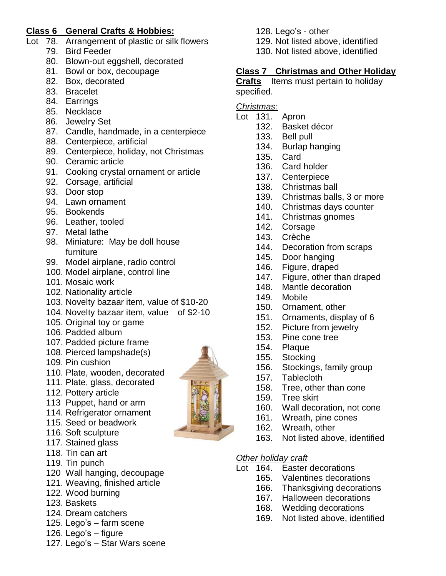### **Class 6 General Crafts & Hobbies:**

- Lot 78. Arrangement of plastic or silk flowers
	- 79. Bird Feeder
	- 80. Blown-out eggshell, decorated
	- 81. Bowl or box, decoupage
	- 82. Box, decorated
	- 83. Bracelet
	- 84. Earrings
	- 85. Necklace
	- 86. Jewelry Set
	- 87. Candle, handmade, in a centerpiece
	- 88. Centerpiece, artificial
	- 89. Centerpiece, holiday, not Christmas
	- 90. Ceramic article
	- 91. Cooking crystal ornament or article
	- 92. Corsage, artificial
	- 93. Door stop
	- 94. Lawn ornament
	- 95. Bookends
	- 96. Leather, tooled
	- 97. Metal lathe
	- 98. Miniature: May be doll house furniture
	- 99. Model airplane, radio control
	- 100. Model airplane, control line
	- 101. Mosaic work
	- 102. Nationality article
	- 103. Novelty bazaar item, value of \$10-20
	- 104. Novelty bazaar item, value of \$2-10
	- 105. Original toy or game
	- 106. Padded album
	- 107. Padded picture frame
	- 108. Pierced lampshade(s)
	- 109. Pin cushion
	- 110. Plate, wooden, decorated
	- 111. Plate, glass, decorated
	- 112. Pottery article
	- 113 Puppet, hand or arm
	- 114. Refrigerator ornament
	- 115. Seed or beadwork
	- 116. Soft sculpture
	- 117. Stained glass
	- 118. Tin can art
	- 119. Tin punch
	- 120 Wall hanging, decoupage
	- 121. Weaving, finished article
	- 122. Wood burning
	- 123. Baskets
	- 124. Dream catchers
	- 125. Lego's farm scene
	- 126. Lego's figure
	- 127. Lego's Star Wars scene
- 128. Lego's other
- 129. Not listed above, identified
- 130. Not listed above, identified

## **Class 7 Christmas and Other Holiday**

**Crafts** Items must pertain to holiday specified.

*Christmas:*

- Lot 131. Apron
	- 132. Basket décor
	- 133. Bell pull
	- 134. Burlap hanging
	- 135. Card
	- 136. Card holder
	- 137. Centerpiece
	- 138. Christmas ball
	- 139. Christmas balls, 3 or more
	- 140. Christmas days counter
	- 141. Christmas gnomes
	- 142. Corsage
	- 143. Crèche
	- 144. Decoration from scraps
	- 145. Door hanging
	- 146. Figure, draped
	- 147. Figure, other than draped
	- 148. Mantle decoration
	- 149. Mobile
	- 150. Ornament, other
	- 151. Ornaments, display of 6
	- 152. Picture from jewelry
	- 153. Pine cone tree
	- 154. Plaque
	- 155. Stocking
	- 156. Stockings, family group
	- 157. Tablecloth
	- 158. Tree, other than cone
	- 159. Tree skirt
	- 160. Wall decoration, not cone
	- 161. Wreath, pine cones
	- 162. Wreath, other
	- 163. Not listed above, identified

#### *Other holiday craft*

- Lot 164. Easter decorations
	- 165. Valentines decorations
	- 166. Thanksgiving decorations
	- 167. Halloween decorations
	- 168. Wedding decorations
	- 169. Not listed above, identified